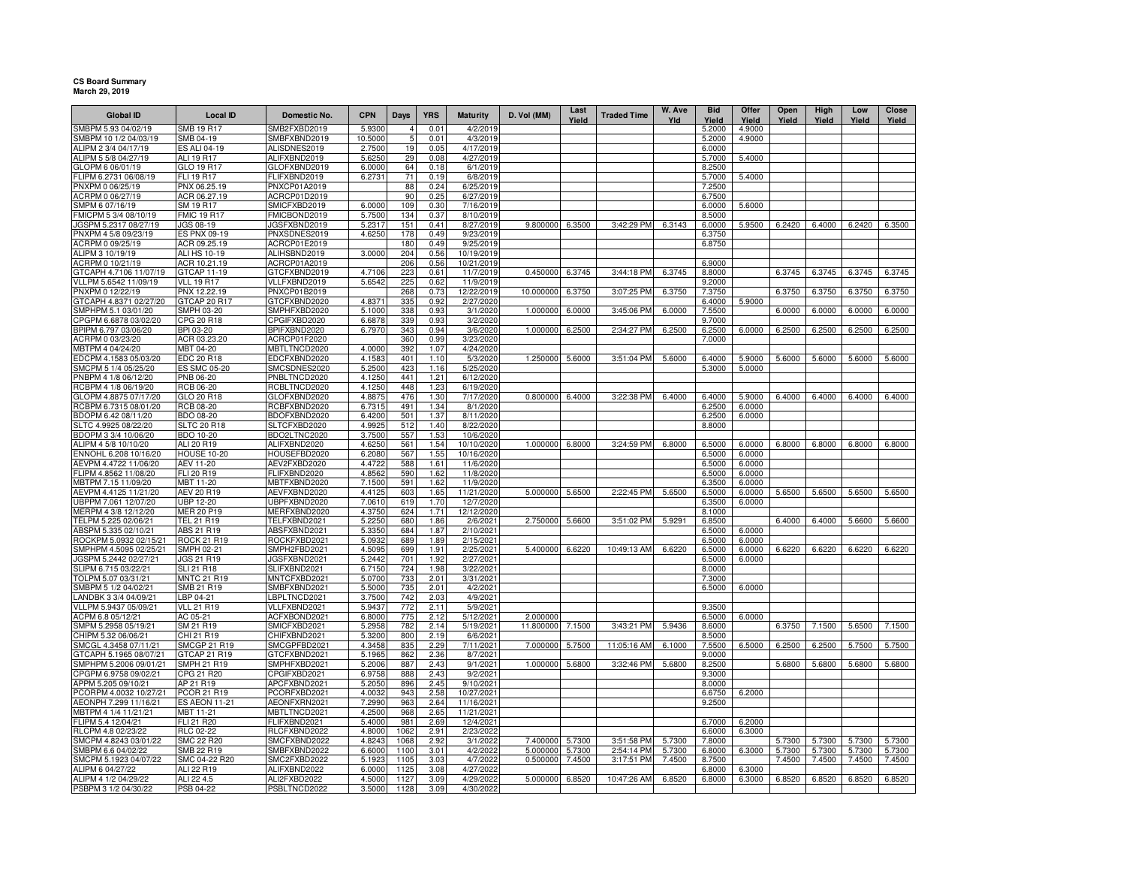## **CS Board Summary March 29, 2019**

| <b>Global ID</b>                                | <b>Local ID</b>                         | <b>Domestic No.</b>          | <b>CPN</b>       | <b>Days</b> | <b>YRS</b>   | <b>Maturity</b>          | D. Vol (MM) | Last<br>Yield | <b>Traded Time</b> | W. Ave<br>Yld | <b>Bid</b><br>Yield | Offer<br>Yield   | Open<br>Yield | High<br>Yield | Low<br>Yield | Close<br>Yield |
|-------------------------------------------------|-----------------------------------------|------------------------------|------------------|-------------|--------------|--------------------------|-------------|---------------|--------------------|---------------|---------------------|------------------|---------------|---------------|--------------|----------------|
| SMBPM 5.93 04/02/19                             | <b>SMB 19 R17</b>                       | SMB2FXBD2019                 | 5.9300           | $\Delta$    | 0.01         | 4/2/2019                 |             |               |                    |               | 5.2000              | 4.9000           |               |               |              |                |
| SMBPM 10 1/2 04/03/19                           | SMB 04-19                               | SMBFXBND2019                 | 10.5000          | 5           | 0.01         | 4/3/2019                 |             |               |                    |               | 5.2000              | 4.9000           |               |               |              |                |
| ALIPM 2 3/4 04/17/19                            | <b>ES ALI 04-19</b>                     | ALISDNES2019                 | 2.7500           | 19          | 0.05         | 4/17/2019                |             |               |                    |               | 6.0000              |                  |               |               |              |                |
| ALIPM 5 5/8 04/27/19                            | ALI 19 R17                              | ALIFXBND2019                 | 5.6250           | 29          | 0.08         | 4/27/2019                |             |               |                    |               | 5.7000              | 5.4000           |               |               |              |                |
| GLOPM 6 06/01/19                                | GLO 19 R17                              | GLOFXBND2019                 | 6.0000           | 64          | 0.18         | 6/1/2019                 |             |               |                    |               | 8.2500              |                  |               |               |              |                |
| FLIPM 6.2731 06/08/19                           | FLI 19 R17                              | FLIFXBND2019                 | 6.2731           | 71          | 0.19         | 6/8/2019                 |             |               |                    |               | 5.7000              | 5.4000           |               |               |              |                |
| PNXPM 0 06/25/19                                | PNX 06.25.19                            | PNXCP01A2019                 |                  | 88<br>90    | 0.24         | 6/25/2019                |             |               |                    |               | 7.2500              |                  |               |               |              |                |
| ACRPM 0 06/27/19<br>SMPM 6 07/16/19             | ACR 06.27.19<br>SM 19 R17               | ACRCP01D2019<br>SMICFXBD2019 | 6.0000           | 109         | 0.25<br>0.30 | 6/27/2019<br>7/16/2019   |             |               |                    |               | 6.7500<br>6.0000    | 5.6000           |               |               |              |                |
| FMICPM 5 3/4 08/10/19                           | <b>FMIC 19 R17</b>                      | FMICBOND2019                 | 5.7500           | 134         | 0.37         | 8/10/2019                |             |               |                    |               | 8.5000              |                  |               |               |              |                |
| JGSPM 5.2317 08/27/19                           | JGS 08-19                               | <b>JGSFXBND2019</b>          | 5.2317           | 151         | 0.41         | 8/27/2019                | 9.800000    | 6.3500        | 3:42:29 PM         | 6.3143        | 6.0000              | 5.9500           | 6.2420        | 6.4000        | 6.2420       | 6.3500         |
| PNXPM 4 5/8 09/23/19                            | <b>ES PNX 09-19</b>                     | PNXSDNES2019                 | 4.6250           | 178         | 0.49         | 9/23/2019                |             |               |                    |               | 6.3750              |                  |               |               |              |                |
| ACRPM 0 09/25/19                                | ACR 09.25.19                            | ACRCP01E2019                 |                  | 180         | 0.49         | 9/25/2019                |             |               |                    |               | 6.8750              |                  |               |               |              |                |
| ALIPM 3 10/19/19                                | <b>ALI HS 10-19</b>                     | ALIHSBND2019                 | 3.0000           | 204         | 0.56         | 10/19/2019               |             |               |                    |               |                     |                  |               |               |              |                |
| ACRPM 0 10/21/19                                | ACR 10.21.19                            | ACRCP01A2019                 |                  | 206         | 0.56         | 10/21/2019               |             |               |                    |               | 6.9000              |                  |               |               |              |                |
| GTCAPH 4.7106 11/07/19                          | GTCAP 11-19                             | GTCFXBND2019                 | 4.7106           | 223         | 0.61         | 11/7/2019                | 0.450000    | 6.3745        | 3:44:18 PM         | 6.3745        | 8.8000              |                  | 6.3745        | 6.3745        | 6.3745       | 6.3745         |
| VLLPM 5.6542 11/09/19                           | <b>VLL 19 R17</b>                       | VLLFXBND2019                 | 5.6542           | 225         | 0.62         | 11/9/2019                |             |               |                    |               | 9.2000              |                  |               |               |              |                |
| PNXPM 0 12/22/19                                | PNX 12.22.19                            | PNXCP01B2019                 |                  | 268         | 0.73         | 12/22/2019               | 10.000000   | 6.3750        | 3:07:25 PM         | 6.3750        | 7.3750              |                  | 6.3750        | 6.3750        | 6.3750       | 6.3750         |
| GTCAPH 4.8371 02/27/20                          | GTCAP 20 R17                            | GTCFXBND2020                 | 4.8371           | 335         | 0.92         | 2/27/2020                |             |               |                    |               | 6.4000              | 5.9000           |               |               |              |                |
| SMPHPM 5.1 03/01/20                             | <b>SMPH 03-20</b>                       | SMPHFXBD2020                 | 5.1000           | 338         | 0.93         | 3/1/2020                 | 1.000000    | 6.0000        | 3:45:06 PM         | 6.0000        | 7.5500              |                  | 6.0000        | 6.0000        | 6.0000       | 6.0000         |
| CPGPM 6.6878 03/02/20<br>BPIPM 6.797 03/06/20   | CPG 20 R18<br>BPI 03-20                 | CPGIFXBD2020<br>BPIFXBND2020 | 6.6878<br>6.7970 | 339<br>343  | 0.93<br>0.94 | 3/2/2020<br>3/6/2020     | 1.000000    | 6.2500        | 2:34:27 PM         | 6.2500        | 9.7000<br>6.2500    | 6.0000           | 6.2500        | 6.2500        | 6.2500       | 6.2500         |
| ACRPM 0 03/23/20                                | ACR 03.23.20                            | ACRCP01F2020                 |                  | 360         | 0.99         | 3/23/2020                |             |               |                    |               | 7.0000              |                  |               |               |              |                |
| MBTPM 4 04/24/20                                | MBT 04-20                               | MBTLTNCD2020                 | 4.0000           | 392         | 1.07         | 4/24/2020                |             |               |                    |               |                     |                  |               |               |              |                |
| EDCPM 4.1583 05/03/20                           | EDC 20 R18                              | EDCFXBND2020                 | 4.1583           | 401         | 1.10         | 5/3/2020                 | 1.250000    | 5.6000        | 3:51:04 PM         | 5.6000        | 6.4000              | 5.9000           | 5.6000        | 5.6000        | 5.6000       | 5.6000         |
| SMCPM 5 1/4 05/25/20                            | <b>ES SMC 05-20</b>                     | SMCSDNES2020                 | 5.2500           | 423         | 1.16         | 5/25/2020                |             |               |                    |               | 5.3000              | 5.0000           |               |               |              |                |
| PNBPM 4 1/8 06/12/20                            | <b>PNB 06-20</b>                        | PNBLTNCD2020                 | 4.1250           | 441         | 1.21         | 6/12/2020                |             |               |                    |               |                     |                  |               |               |              |                |
| RCBPM 4 1/8 06/19/20                            | <b>RCB 06-20</b>                        | RCBLTNCD2020                 | 4.1250           | 448         | 1.23         | 6/19/2020                |             |               |                    |               |                     |                  |               |               |              |                |
| GLOPM 4.8875 07/17/20                           | GLO 20 R18                              | GLOFXBND2020                 | 4.8875           | 476         | 1.30         | 7/17/2020                | 0.800000    | 6.4000        | 3:22:38 PM         | 6.4000        | 6.4000              | 5.9000           | 6.4000        | 6.4000        | 6.4000       | 6.4000         |
| RCBPM 6.7315 08/01/20                           | RCB 08-20                               | RCBFXBND2020                 | 6.7315           | 491         | 1.34         | 8/1/2020                 |             |               |                    |               | 6.2500              | 6.0000           |               |               |              |                |
| BDOPM 6.42 08/11/20                             | BDO 08-20                               | BDOFXBND2020                 | 6.4200           | 501         | 1.37         | 8/11/2020                |             |               |                    |               | 6.2500              | 6.0000           |               |               |              |                |
| SLTC 4.9925 08/22/20                            | <b>SLTC 20 R18</b>                      | SLTCFXBD2020                 | 4.9925           | 512         | 1.40         | 8/22/2020                |             |               |                    |               | 8.8000              |                  |               |               |              |                |
| BDOPM 3 3/4 10/06/20                            | <b>BDO 10-20</b>                        | BDO2LTNC2020                 | 3.7500           | 557         | 1.53         | 10/6/2020                |             |               |                    |               |                     |                  |               |               |              |                |
| ALIPM 4 5/8 10/10/20<br>ENNOHL 6.208 10/16/20   | ALI 20 R19                              | ALIFXBND2020                 | 4.6250           | 561<br>567  | 1.54         | 10/10/2020               | 1.000000    | 6.8000        | 3:24:59 PM         | 6.8000        | 6.5000              | 6.0000           | 6.8000        | 6.8000        | 6.8000       | 6.8000         |
| AEVPM 4.4722 11/06/20                           | <b>HOUSE 10-20</b><br>AEV 11-20         | HOUSEFBD2020<br>AEV2FXBD2020 | 6.2080<br>4.4722 | 588         | 1.55<br>1.61 | 10/16/2020<br>11/6/2020  |             |               |                    |               | 6.5000<br>6.5000    | 6.0000<br>6.0000 |               |               |              |                |
| FLIPM 4.8562 11/08/20                           | FLI 20 R19                              | FLIFXBND2020                 | 4.8562           | 590         | 1.62         | 11/8/2020                |             |               |                    |               | 6.5000              | 6.0000           |               |               |              |                |
| MBTPM 7.15 11/09/20                             | MBT 11-20                               | MBTFXBND2020                 | 7.1500           | 591         | 1.62         | 11/9/2020                |             |               |                    |               | 6.3500              | 6.0000           |               |               |              |                |
| AEVPM 4.4125 11/21/20                           | <b>AEV 20 R19</b>                       | AEVFXBND2020                 | 4.4125           | 603         | 1.65         | 11/21/2020               | 5.000000    | 5.6500        | 2:22:45 PM         | 5.6500        | 6.5000              | 6.0000           | 5.6500        | 5.6500        | 5.6500       | 5.6500         |
| UBPPM 7.061 12/07/20                            | UBP 12-20                               | UBPFXBND2020                 | 7.0610           | 619         | 1.70         | 12/7/2020                |             |               |                    |               | 6.3500              | 6.0000           |               |               |              |                |
| MERPM 4 3/8 12/12/20                            | <b>MER 20 P19</b>                       | MERFXBND2020                 | 4.3750           | 624         | 1.71         | 12/12/2020               |             |               |                    |               | 8.1000              |                  |               |               |              |                |
| TELPM 5.225 02/06/21                            | <b>TEL 21 R19</b>                       | TELFXBND2021                 | 5.2250           | 680         | 1.86         | 2/6/2021                 | 2.750000    | 5.6600        | 3:51:02 PM         | 5.9291        | 6.8500              |                  | 6.4000        | 6.4000        | 5.6600       | 5.6600         |
| ABSPM 5.335 02/10/21                            | ABS 21 R19                              | ABSFXBND2021                 | 5.3350           | 684         | 1.87         | 2/10/2021                |             |               |                    |               | 6.5000              | 6.0000           |               |               |              |                |
| ROCKPM 5.0932 02/15/21                          | <b>ROCK 21 R19</b>                      | ROCKFXBD2021                 | 5.0932           | 689         | 1.89         | 2/15/2021                |             |               |                    |               | 6.5000              | 6.0000           |               |               |              |                |
| SMPHPM 4.5095 02/25/21                          | <b>SMPH 02-21</b>                       | SMPH2FBD2021                 | 4.5095           | 699         | 1.91         | 2/25/2021                | 5.400000    | 6.6220        | 10:49:13 AM        | 6.6220        | 6.5000              | 6.0000           | 6.6220        | 6.6220        | 6.6220       | 6.6220         |
| JGSPM 5.2442 02/27/21                           | <b>JGS 21 R19</b>                       | GSFXBND2021                  | 5.2442           | 701         | 1.92         | 2/27/2021                |             |               |                    |               | 6.5000              | 6.0000           |               |               |              |                |
| SLIPM 6.715 03/22/21<br>TOLPM 5.07 03/31/21     | <b>SLI 21 R18</b><br><b>MNTC 21 R19</b> | SLIFXBND2021<br>MNTCFXBD2021 | 6.7150<br>5.0700 | 724<br>733  | 1.98<br>2.01 | 3/22/2021<br>3/31/2021   |             |               |                    |               | 8.0000<br>7.3000    |                  |               |               |              |                |
| SMBPM 5 1/2 04/02/21                            | SMB 21 R19                              | SMBFXBND2021                 | 5.5000           | 735         | 2.01         | 4/2/2021                 |             |               |                    |               | 6.5000              | 6.0000           |               |               |              |                |
| LANDBK 3 3/4 04/09/21                           | LBP 04-21                               | LBPLTNCD2021                 | 3.7500           | 742         | 2.03         | 4/9/2021                 |             |               |                    |               |                     |                  |               |               |              |                |
| VLLPM 5.9437 05/09/21                           | <b>VLL 21 R19</b>                       | VLLFXBND2021                 | 5.9437           | 772         | 2.11         | 5/9/2021                 |             |               |                    |               | 9.3500              |                  |               |               |              |                |
| ACPM 6.8 05/12/21                               | AC 05-21                                | ACFXBOND2021                 | 6.8000           | 775         | 2.12         | 5/12/2021                | 2.000000    |               |                    |               | 6.5000              | 6.0000           |               |               |              |                |
| SMPM 5.2958 05/19/21                            | SM 21 R19                               | SMICFXBD2021                 | 5.2958           | 782         | 2.14         | 5/19/2021                | 11.800000   | 7.1500        | 3:43:21 PM         | 5.9436        | 8.6000              |                  | 6.3750        | 7.1500        | 5.6500       | 7.1500         |
| CHIPM 5.32 06/06/21                             | CHI 21 R19                              | CHIFXBND2021                 | 5.3200           | 800         | 2.19         | 6/6/2021                 |             |               |                    |               | 8.5000              |                  |               |               |              |                |
| SMCGL 4.3458 07/11/21                           | <b>SMCGP 21 R19</b>                     | SMCGPFBD2021                 | 4.3458           | 835         | 2.29         | 7/11/2021                | 7.000000    | 5.7500        | 11:05:16 AM        | 6.1000        | 7.5500              | 6.5000           | 6.2500        | 6.2500        | 5.7500       | 5.7500         |
| GTCAPH 5.1965 08/07/21                          | GTCAP 21 R19                            | GTCFXBND2021                 | 5.1965           | 862         | 2.36         | 8/7/2021                 |             |               |                    |               | 9.0000              |                  |               |               |              |                |
| SMPHPM 5.2006 09/01/21                          | <b>SMPH 21 R19</b>                      | SMPHFXBD2021                 | 5.2006           | 887         | 2.43         | 9/1/2021                 | 1.000000    | 5.6800        | 3:32:46 PM         | 5.6800        | 8.2500              |                  | 5.6800        | 5.6800        | 5.6800       | 5.6800         |
| CPGPM 6.9758 09/02/21                           | CPG 21 R20                              | CPGIFXBD2021                 | 6.9758           | 888         | 2.43         | 9/2/2021                 |             |               |                    |               | 9.3000              |                  |               |               |              |                |
| APPM 5.205 09/10/21                             | AP 21 R19                               | APCFXBND2021                 | 5.2050           | 896<br>943  | 2.45         | 9/10/2021                |             |               |                    |               | 8.0000              |                  |               |               |              |                |
| PCORPM 4.0032 10/27/21<br>AEONPH 7.299 11/16/21 | PCOR 21 R19<br><b>ES AEON 11-21</b>     | PCORFXBD2021<br>AEONFXRN2021 | 4.0032<br>7.2990 | 963         | 2.58<br>2.64 | 10/27/2021<br>11/16/2021 |             |               |                    |               | 6.6750<br>9.2500    | 6.2000           |               |               |              |                |
| MBTPM 4 1/4 11/21/21                            | MBT 11-21                               |                              | 4.2500           |             | 2.65         |                          |             |               |                    |               |                     |                  |               |               |              |                |
| FLIPM 5.4 12/04/21                              | FLI 21 R20                              | MBTLTNCD2021<br>FLIFXBND2021 | 5.4000           | 968<br>981  | 2.69         | 11/21/2021<br>12/4/2021  |             |               |                    |               | 6.7000              | 6.2000           |               |               |              |                |
| RLCPM 4.8 02/23/22                              | <b>RLC 02-22</b>                        | RLCFXBND2022                 | 4.8000           | 1062        | 2.91         | 2/23/2022                |             |               |                    |               | 6.6000              | 6.3000           |               |               |              |                |
| SMCPM 4.8243 03/01/22                           | SMC 22 R20                              | SMCFXBND2022                 | 4.8243           | 1068        | 2.92         | 3/1/2022                 | 7.400000    | 5.7300        | 3:51:58 PM         | 5.7300        | 7.8000              |                  | 5.7300        | 5.7300        | 5.7300       | 5.7300         |
| SMBPM 6.6 04/02/22                              | SMB 22 R19                              | SMBFXBND2022                 | 6.6000           | 1100        | 3.01         | 4/2/2022                 | 5.000000    | 5.7300        | 2:54:14 PM         | 5.7300        | 6.8000              | 6.3000           | 5.7300        | 5.7300        | 5.7300       | 5.7300         |
| SMCPM 5.1923 04/07/22                           | SMC 04-22 R20                           | SMC2FXBD2022                 | 5.1923           | 1105        | 3.03         | 4/7/2022                 | 0.500000    | 7.4500        | 3:17:51 PM         | 7.4500        | 8.7500              |                  | 7.4500        | 7.4500        | 7.4500       | 7.4500         |
| ALIPM 6 04/27/22                                | ALI 22 R19                              | ALIFXBND2022                 | 6.0000           | 1125        | 3.08         | 4/27/2022                |             |               |                    |               | 6.8000              | 6.3000           |               |               |              |                |
| ALIPM 4 1/2 04/29/22                            | ALI 22 4.5                              | ALI2FXBD2022                 | 4.5000           | 1127        | 3.09         | 4/29/2022                | 5.000000    | 6.8520        | 10:47:26 AM        | 6.8520        | 6.8000              | 6.3000           | 6.8520        | 6.8520        | 6.8520       | 6.8520         |
| PSBPM 3 1/2 04/30/22                            | PSB 04-22                               | PSBLTNCD2022                 | 3.5000           | 1128        | 3.09         | 4/30/2022                |             |               |                    |               |                     |                  |               |               |              |                |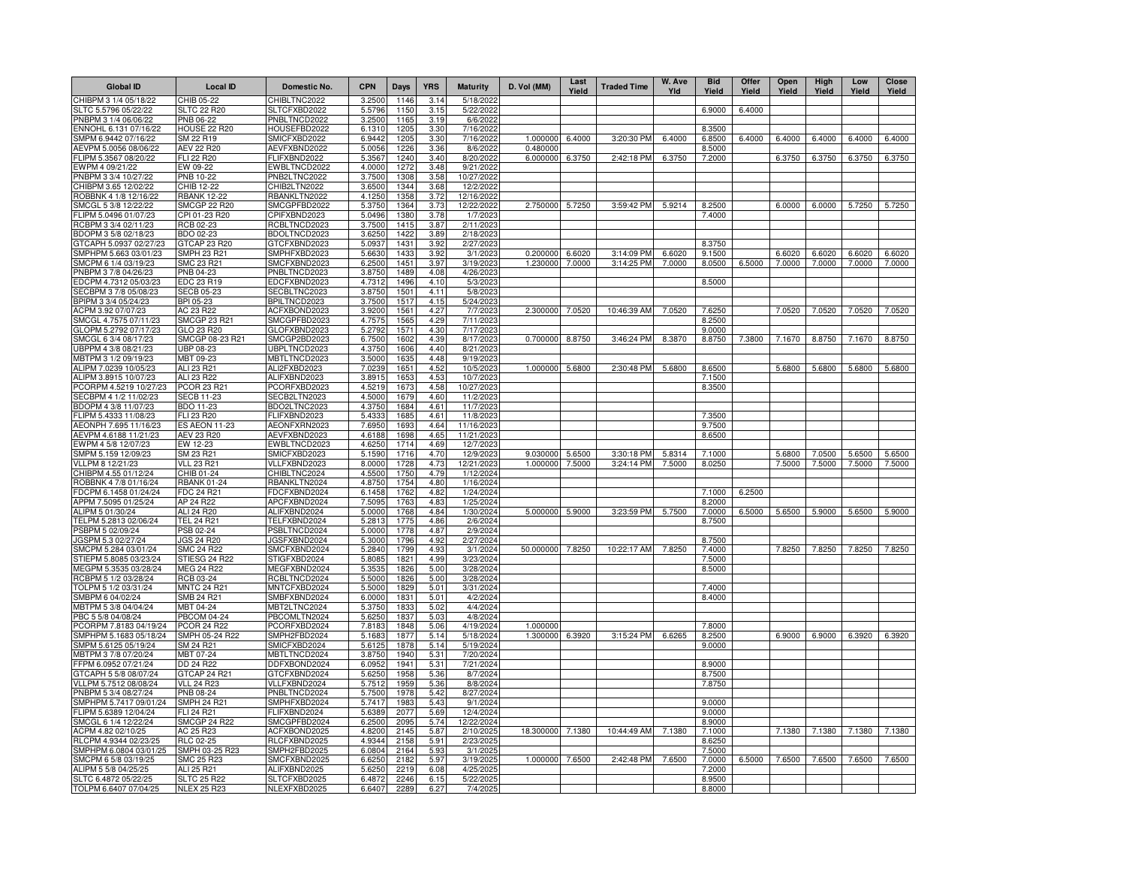| <b>Global ID</b>                                | <b>Local ID</b>                          | Domestic No.                 | <b>CPN</b>       | Days         | <b>YRS</b>   | <b>Maturity</b>         | D. Vol (MM)          | Last<br>Yield | <b>Traded Time</b> | W. Ave<br>Yld | <b>Bid</b><br>Yield | Offer<br>Yield | Open<br>Yield | High<br>Yield | Low<br>Yield | <b>Close</b><br>Yield |
|-------------------------------------------------|------------------------------------------|------------------------------|------------------|--------------|--------------|-------------------------|----------------------|---------------|--------------------|---------------|---------------------|----------------|---------------|---------------|--------------|-----------------------|
| CHIBPM 3 1/4 05/18/22                           | CHIB 05-22                               | CHIBLTNC2022                 | 3.2500           | 1146         | 3.14         | 5/18/2022               |                      |               |                    |               |                     |                |               |               |              |                       |
| SLTC 5.5796 05/22/22                            | <b>SLTC 22 R20</b>                       | SLTCFXBD2022                 | 5.5796           | 1150         | 3.15         | 5/22/2022               |                      |               |                    |               | 6.9000              | 6.4000         |               |               |              |                       |
| PNBPM 3 1/4 06/06/22                            | PNB 06-22                                | PNBLTNCD2022                 | 3.2500           | 1165         | 3.19         | 6/6/2022                |                      |               |                    |               |                     |                |               |               |              |                       |
| ENNOHL 6.131 07/16/22                           | <b>HOUSE 22 R20</b>                      | HOUSEFBD2022                 | 6.1310           | 1205         | 3.30         | 7/16/2022               |                      |               |                    |               | 8.3500              |                |               |               |              |                       |
| SMPM 6.9442 07/16/22<br>AEVPM 5.0056 08/06/22   | SM 22 R19<br><b>AEV 22 R20</b>           | SMICFXBD2022<br>AEVFXBND2022 | 6.9442<br>5.0056 | 1205<br>1226 | 3.30<br>3.36 | 7/16/2022<br>8/6/2022   | 1.000000<br>0.480000 | 6.4000        | 3:20:30 PM         | 6.4000        | 6.8500<br>8.5000    | 6.4000         | 6.4000        | 6.4000        | 6.4000       | 6.4000                |
| FLIPM 5.3567 08/20/22                           | FLI 22 R20                               | FLIFXBND2022                 | 5.3567           | 1240         | 3.40         | 8/20/2022               | 6.000000             | 6.3750        | 2:42:18 PM         | 6.3750        | 7.2000              |                | 6.3750        | 6.3750        | 6.3750       | 6.3750                |
| EWPM 4 09/21/22                                 | EW 09-22                                 | EWBLTNCD2022                 | 4.0000           | 1272         | 3.48         | 9/21/2022               |                      |               |                    |               |                     |                |               |               |              |                       |
| PNBPM 3 3/4 10/27/22                            | PNB 10-22                                | PNB2LTNC2022                 | 3.7500           | 1308         | 3.58         | 10/27/2022              |                      |               |                    |               |                     |                |               |               |              |                       |
| CHIBPM 3.65 12/02/22                            | CHIB 12-22                               | CHIB2LTN2022                 | 3.6500           | 1344         | 3.68         | 12/2/2022               |                      |               |                    |               |                     |                |               |               |              |                       |
| ROBBNK 4 1/8 12/16/22                           | <b>RBANK 12-22</b>                       | RBANKLTN2022                 | 4.1250           | 1358         | 3.72         | 12/16/2022              |                      |               |                    |               |                     |                |               |               |              |                       |
| SMCGL 5 3/8 12/22/22                            | SMCGP 22 R20                             | SMCGPFBD2022                 | 5.3750           | 1364         | 3.73         | 12/22/2022              | 2.750000             | 5.7250        | 3:59:42 PM         | 5.9214        | 8.2500              |                | 6.0000        | 6.0000        | 5.7250       | 5.7250                |
| FLIPM 5.0496 01/07/23<br>RCBPM 3 3/4 02/11/23   | CPI 01-23 R20<br>RCB 02-23               | CPIFXBND2023<br>RCBLTNCD2023 | 5.0496<br>3.7500 | 1380<br>1415 | 3.78<br>3.87 | 1/7/2023<br>2/11/2023   |                      |               |                    |               | 7.4000              |                |               |               |              |                       |
| BDOPM 3 5/8 02/18/23                            | BDO 02-23                                | BDOLTNCD2023                 | 3.6250           | 1422         | 3.89         | 2/18/2023               |                      |               |                    |               |                     |                |               |               |              |                       |
| GTCAPH 5.0937 02/27/23                          | GTCAP 23 R20                             | GTCFXBND2023                 | 5.0937           | 1431         | 3.92         | 2/27/2023               |                      |               |                    |               | 8.3750              |                |               |               |              |                       |
| SMPHPM 5.663 03/01/23                           | SMPH 23 R21                              | SMPHFXBD2023                 | 5.6630           | 1433         | 3.92         | 3/1/2023                | 0.200000             | 6.6020        | 3:14:09 PM         | 6.6020        | 9.1500              |                | 6.6020        | 6.6020        | 6.6020       | 6.6020                |
| SMCPM 6 1/4 03/19/23                            | SMC 23 R21                               | SMCFXBND2023                 | 6.2500           | 1451         | 3.97         | 3/19/202:               | 1.230000             | 7.0000        | 3:14:25 PM         | 7.0000        | 8.0500              | 6.5000         | 7.0000        | 7.0000        | 7.0000       | 7.0000                |
| PNBPM 3 7/8 04/26/23                            | PNB 04-23                                | PNBLTNCD2023                 | 3.8750           | 1489         | 4.08         | 4/26/2023               |                      |               |                    |               |                     |                |               |               |              |                       |
| EDCPM 4.7312 05/03/23                           | EDC 23 R19                               | EDCFXBND2023                 | 4.7312           | 1496         | 4.10         | 5/3/2023                |                      |               |                    |               | 8.5000              |                |               |               |              |                       |
| ECBPM 3 7/8 05/08/23<br>BPIPM 3 3/4 05/24/23    | <b>SECB 05-23</b>                        | SECBLTNC2023                 | 3.8750           | 1501         | 4.11         | 5/8/202                 |                      |               |                    |               |                     |                |               |               |              |                       |
| ACPM 3.92 07/07/23                              | BPI 05-23<br>AC 23 R22                   | BPILTNCD2023<br>ACFXBOND2023 | 3.7500<br>3.9200 | 1517<br>1561 | 4.15<br>4.27 | 5/24/2023<br>7/7/202    | 2.300000             | 7.0520        | 10:46:39 AM        | 7.0520        | 7.6250              |                | 7.0520        | 7.0520        | 7.0520       | 7.0520                |
| SMCGL 4.7575 07/11/23                           | <b>SMCGP 23 R21</b>                      | SMCGPFBD2023                 | 4.7575           | 1565         | 4.29         | 7/11/202                |                      |               |                    |               | 8.2500              |                |               |               |              |                       |
| GLOPM 5.2792 07/17/23                           | GLO 23 R20                               | GLOFXBND2023                 | 5.2792           | 1571         | 4.30         | $\frac{1}{7}$ 17/202    |                      |               |                    |               | 9.0000              |                |               |               |              |                       |
| SMCGL 6 3/4 08/17/23                            | SMCGP 08-23 R21                          | SMCGP2BD2023                 | 6.7500           | 1602         | 4.39         | 8/17/2023               | 0.700000             | 8.8750        | 3:46:24 PM         | 8.3870        | 8.8750              | 7.3800         | 7.1670        | 8.8750        | 7.1670       | 8.8750                |
| UBPPM 4 3/8 08/21/23                            | UBP 08-23                                | UBPLTNCD2023                 | 4.3750           | 1606         | 4.40         | 8/21/202                |                      |               |                    |               |                     |                |               |               |              |                       |
| MBTPM 3 1/2 09/19/23                            | MBT 09-23                                | MBTLTNCD2023                 | 3.5000           | 1635         | 4.48         | 9/19/202                |                      |               |                    |               |                     |                |               |               |              |                       |
| ALIPM 7.0239 10/05/23                           | ALI 23 R21                               | ALI2FXBD2023                 | 7.0239           | 1651         | 4.52         | 10/5/2023               | 1.000000 5.6800      |               | 2:30:48 PM         | 5.6800        | 8.6500              |                | 5.6800        | 5.6800        | 5.6800       | 5.6800                |
| ALIPM 3.8915 10/07/23                           | ALI 23 R22<br><b>PCOR 23 R21</b>         | ALIFXBND2023                 | 3.8915           | 1653         | 4.53         | 10/7/2023               |                      |               |                    |               | 7.1500<br>8.3500    |                |               |               |              |                       |
| PCORPM 4.5219 10/27/23<br>SECBPM 4 1/2 11/02/23 | <b>SECB 11-23</b>                        | PCORFXBD2023<br>SECB2LTN2023 | 4.5219<br>4.5000 | 1673<br>1679 | 4.58<br>4.60 | 10/27/2023<br>11/2/2023 |                      |               |                    |               |                     |                |               |               |              |                       |
| BDOPM 4 3/8 11/07/23                            | <b>BDO 11-23</b>                         | BDO2LTNC2023                 | 4.3750           | 1684         | 4.61         | 11/7/2023               |                      |               |                    |               |                     |                |               |               |              |                       |
| FLIPM 5.4333 11/08/23                           | FLI 23 R20                               | FLIFXBND2023                 | 5.4333           | 1685         | 4.61         | 11/8/2023               |                      |               |                    |               | 7.3500              |                |               |               |              |                       |
| AEONPH 7.695 11/16/23                           | <b>ES AEON 11-23</b>                     | AEONFXRN2023                 | 7.6950           | 1693         | 4.64         | 11/16/2023              |                      |               |                    |               | 9.7500              |                |               |               |              |                       |
| AEVPM 4.6188 11/21/23                           | AEV 23 R20                               | AEVFXBND2023                 | 4.6188           | 1698         | 4.65         | 11/21/2023              |                      |               |                    |               | 8.6500              |                |               |               |              |                       |
| EWPM 4 5/8 12/07/23                             | EW 12-23                                 | EWBLTNCD2023                 | 4.6250           | 1714         | 4.69         | 12/7/2023               |                      |               |                    |               |                     |                |               |               |              |                       |
| SMPM 5.159 12/09/23                             | SM 23 R21                                | SMICFXBD2023                 | 5.1590           | 1716         | 4.70         | 12/9/2023               | 9.030000             | 5.6500        | 3:30:18 PM         | 5.8314        | 7.1000              |                | 5.6800        | 7.0500        | 5.6500       | 5.6500                |
| VLLPM 8 12/21/23<br>CHIBPM 4.55 01/12/24        | <b>VLL 23 R21</b><br>CHIB 01-24          | VLLFXBND2023<br>CHIBLTNC2024 | 8.0000<br>4.5500 | 1728<br>1750 | 4.73<br>4.79 | 12/21/2023<br>1/12/2024 | 1.000000             | 7.5000        | 3:24:14 PM         | 7.5000        | 8.0250              |                | 7.5000        | 7.5000        | 7.5000       | 7.5000                |
| ROBBNK 4 7/8 01/16/24                           | <b>RBANK 01-24</b>                       | RBANKLTN2024                 | 4.8750           | 1754         | 4.80         | 1/16/2024               |                      |               |                    |               |                     |                |               |               |              |                       |
| FDCPM 6.1458 01/24/24                           | FDC 24 R21                               | FDCFXBND2024                 | 6.1458           | 1762         | 4.82         | 1/24/2024               |                      |               |                    |               | 7.1000              | 6.2500         |               |               |              |                       |
| APPM 7.5095 01/25/24                            | AP 24 R22                                | APCFXBND2024                 | 7.5095           | 1763         | 4.83         | 1/25/2024               |                      |               |                    |               | 8.2000              |                |               |               |              |                       |
| ALIPM 5 01/30/24                                | ALI 24 R20                               | ALIFXBND2024                 | 5.0000           | 1768         | 4.84         | 1/30/2024               | 5.000000             | 5.9000        | 3:23:59 PM         | 5.7500        | 7.0000              | 6.5000         | 5.6500        | 5.9000        | 5.6500       | 5.9000                |
| TELPM 5.2813 02/06/24                           | <b>TEL 24 R21</b>                        | TELFXBND2024                 | 5.2813           | 1775         | 4.86         | 2/6/2024                |                      |               |                    |               | 8.7500              |                |               |               |              |                       |
| PSBPM 5 02/09/24                                | PSB 02-24                                | PSBLTNCD2024                 | 5.0000           | 1778         | 4.87         | 2/9/2024                |                      |               |                    |               |                     |                |               |               |              |                       |
| JGSPM 5.3 02/27/24<br>SMCPM 5.284 03/01/24      | <b>JGS 24 R20</b><br><b>SMC 24 R22</b>   | JGSFXBND2024<br>SMCFXBND2024 | 5.3000<br>5.2840 | 1796<br>1799 | 4.92<br>4.93 | 2/27/2024<br>3/1/2024   | 50.000000            | 7.8250        | 10:22:17 AM        | 7.8250        | 8.7500<br>7.4000    |                | 7.8250        | 7.8250        | 7.8250       | 7.8250                |
| STIEPM 5.8085 03/23/24                          | STIESG 24 R22                            | STIGFXBD2024                 | 5.8085           | 1821         | 4.99         | 3/23/2024               |                      |               |                    |               | 7.5000              |                |               |               |              |                       |
| MEGPM 5.3535 03/28/24                           | <b>MEG 24 R22</b>                        | MEGFXBND2024                 | 5.3535           | 1826         | 5.00         | 3/28/2024               |                      |               |                    |               | 8.5000              |                |               |               |              |                       |
| RCBPM 5 1/2 03/28/24                            | RCB 03-24                                | RCBLTNCD2024                 | 5.5000           | 1826         | 5.00         | 3/28/2024               |                      |               |                    |               |                     |                |               |               |              |                       |
| TOLPM 5 1/2 03/31/24                            | <b>MNTC 24 R21</b>                       | MNTCFXBD2024                 | 5.5000           | 1829         | 5.01         | 3/31/2024               |                      |               |                    |               | 7.4000              |                |               |               |              |                       |
| SMBPM 6 04/02/24                                | <b>SMB 24 R21</b>                        | SMBFXBND2024                 | 6.0000           | 1831         | 5.01         | 4/2/2024                |                      |               |                    |               | 8.4000              |                |               |               |              |                       |
| MBTPM 5 3/8 04/04/24                            | MBT 04-24                                | MBT2LTNC2024                 | 5.3750           | 1833         | 5.02         | 4/4/2024                |                      |               |                    |               |                     |                |               |               |              |                       |
| PBC 5 5/8 04/08/24<br>PCORPM 7.8183 04/19/24    | <b>PBCOM 04-24</b><br><b>PCOR 24 R22</b> | PBCOMLTN2024<br>PCORFXBD2024 | 5.6250<br>7.8183 | 1837<br>1848 | 5.03<br>5.06 | 4/8/2024<br>4/19/2024   | 1.00000              |               |                    |               | 7.8000              |                |               |               |              |                       |
| SMPHPM 5.1683 05/18/24                          | SMPH 05-24 R22                           | SMPH2FBD2024                 | 5.168            | 187          | 5.14         | 5/18/2024               | 1.300000             | 6.3920        | 3:15:24 PM         | 6.6265        | 8.2500              |                | 6.9000        | 6.9000        | 6.3920       | 6.3920                |
| SMPM 5.6125 05/19/24                            | SM 24 R21                                | SMICFXBD2024                 | 5.6125           | 1878         | 5.14         | 5/19/2024               |                      |               |                    |               | 9.0000              |                |               |               |              |                       |
| MBTPM 3 7/8 07/20/24                            | MBT 07-24                                | MBTLTNCD2024                 | 3.8750           | 1940         | 5.31         | 7/20/2024               |                      |               |                    |               |                     |                |               |               |              |                       |
| FPM 6.0952 07/21/24                             | DD 24 R22                                | DDFXBOND2024                 | 6.0952           | 1941         | 5.31         | 7/21/2024               |                      |               |                    |               | 8.9000              |                |               |               |              |                       |
| GTCAPH 5 5/8 08/07/24                           | GTCAP 24 R21                             | GTCFXBND2024                 | 5.6250           | 1958         | 5.36         | 8/7/2024                |                      |               |                    |               | 8.7500              |                |               |               |              |                       |
| VLLPM 5.7512 08/08/24                           | <b>VLL 24 R23</b>                        | VLLFXBND2024                 | 5.7512           | 1959         | 5.36         | 8/8/2024                |                      |               |                    |               | 7.8750              |                |               |               |              |                       |
| PNBPM 5 3/4 08/27/24                            | PNB 08-24                                | PNBLTNCD2024                 | 5.7500           | 1978         | 5.42         | 8/27/2024               |                      |               |                    |               |                     |                |               |               |              |                       |
| SMPHPM 5.7417 09/01/24<br>FLIPM 5.6389 12/04/24 | <b>SMPH 24 R21</b><br>FLI 24 R21         | SMPHFXBD2024<br>FLIFXBND2024 | 5.7417<br>5.6389 | 198<br>207   | 5.43<br>5.69 | 9/1/2024<br>12/4/2024   |                      |               |                    |               | 9.0000<br>9.0000    |                |               |               |              |                       |
| SMCGL 6 1/4 12/22/24                            | SMCGP 24 R22                             | SMCGPFBD2024                 | 6.2500           | 209          | 5.74         | 12/22/2024              |                      |               |                    |               | 8.9000              |                |               |               |              |                       |
| ACPM 4.82 02/10/25                              | AC 25 R23                                | ACFXBOND2025                 | 4.8200           | 2145         | 5.87         | 2/10/2025               | 18.300000            | 7.1380        | 10:44:49 AM        | 7.1380        | 7.1000              |                | 7.1380        | 7.1380        | 7.1380       | 7.1380                |
| RLCPM 4.9344 02/23/25                           | RLC 02-25                                | RLCFXBND2025                 | 4.9344           | 2158         | 5.91         | 2/23/2025               |                      |               |                    |               | 8.6250              |                |               |               |              |                       |
| SMPHPM 6.0804 03/01/25                          | SMPH 03-25 R23                           | SMPH2FBD2025                 | 6.0804           | 2164         | 5.93         | 3/1/2025                |                      |               |                    |               | 7.5000              |                |               |               |              |                       |
| SMCPM 6 5/8 03/19/25                            | <b>SMC 25 R23</b>                        | SMCFXBND2025                 | 6.625            | 2182         | 5.97         | 3/19/2025               | 1.000000 7.6500      |               | 2:42:48 PM         | 7.6500        | 7.0000              | 6.5000         | 7.6500        | 7.6500        | 7.6500       | 7.6500                |
| ALIPM 5 5/8 04/25/25                            | ALI 25 R21                               | ALIFXBND2025                 | 5.6250           | 2219         | 6.08         | 4/25/2025               |                      |               |                    |               | 7.2000              |                |               |               |              |                       |
| SLTC 6.4872 05/22/25<br>TOLPM 6.6407 07/04/25   | <b>SLTC 25 R22</b><br><b>NLEX 25 R23</b> | SLTCFXBD2025<br>NLEXFXBD2025 | 6.4872<br>6.6407 | 2246<br>2289 | 6.15<br>6.27 | 5/22/2025<br>7/4/2025   |                      |               |                    |               | 8.9500<br>8.8000    |                |               |               |              |                       |
|                                                 |                                          |                              |                  |              |              |                         |                      |               |                    |               |                     |                |               |               |              |                       |